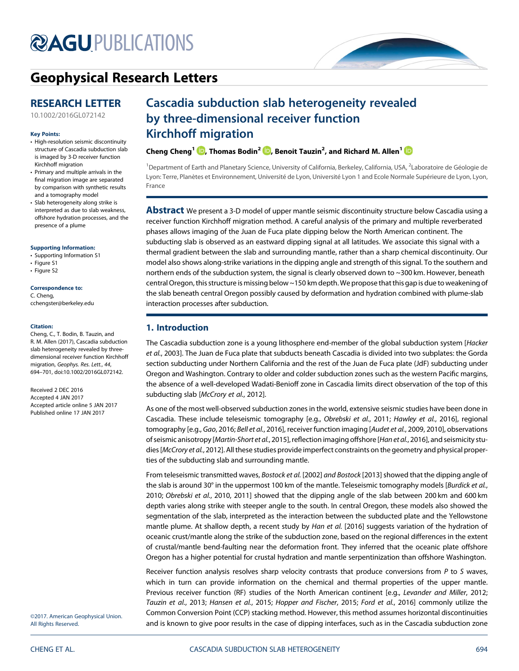# **@AGU[PUBLICATIONS](http://publications.agu.org/journals/)**



# [Geophysical Research Letters](http://onlinelibrary.wiley.com/journal/10.1002/(ISSN)1944-8007)

# RESEARCH LETTER

[10.1002/2016GL072142](http://dx.doi.org/10.1002/2016GL072142)

#### Key Points:

- High-resolution seismic discontinuity structure of Cascadia subduction slab is imaged by 3-D receiver function Kirchhoff migration
- Primary and multiple arrivals in the final migration image are separated by comparison with synthetic results and a tomography model
- Slab heterogeneity along strike is interpreted as due to slab weakness, offshore hydration processes, and the presence of a plume

#### [Supporting Information:](http://dx.doi.org/10.1002/2016GL072142)

- [•](http://dx.doi.org/10.1002/2016GL072142) [Supporting Information S1](http://dx.doi.org/10.1002/2016GL072142)
- [•](http://dx.doi.org/10.1002/2016GL072142) [Figure S1](http://dx.doi.org/10.1002/2016GL072142)
- [•](http://dx.doi.org/10.1002/2016GL072142) [Figure S2](http://dx.doi.org/10.1002/2016GL072142)

#### Correspondence to:

C. Cheng, [cchengster@berkeley.edu](mailto:cchengster@berkeley.edu)

#### Citation:

Cheng, C., T. Bodin, B. Tauzin, and R. M. Allen (2017), Cascadia subduction slab heterogeneity revealed by threedimensional receiver function Kirchhoff migration, Geophys. Res. Lett., 44, 694–701, doi:10.1002/2016GL072142.

Received 2 DEC 2016 Accepted 4 JAN 2017 Accepted article online 5 JAN 2017 Published online 17 JAN 2017

# Cascadia subduction slab heterogeneity revealed by three-dimensional receiver function Kirchhoff migration

Cheng Cheng<sup>1</sup>  $\textcolor{blue}{\bullet}$ [,](http://orcid.org/0000-0002-7393-6112) Thomas Bodin $^2$   $\textcolor{blue}{\bullet}$ , Benoit Tauzin $^2$ , and Richard M. Allen $^1$ 

<sup>1</sup> Department of Earth and Planetary Science, University of California, Berkeley, California, USA, <sup>2</sup>Laboratoire de Géologie de Lyon: Terre, Planètes et Environnement, Université de Lyon, Université Lyon 1 and Ecole Normale Supérieure de Lyon, Lyon, France

**Abstract** We present a 3-D model of upper mantle seismic discontinuity structure below Cascadia using a receiver function Kirchhoff migration method. A careful analysis of the primary and multiple reverberated phases allows imaging of the Juan de Fuca plate dipping below the North American continent. The subducting slab is observed as an eastward dipping signal at all latitudes. We associate this signal with a thermal gradient between the slab and surrounding mantle, rather than a sharp chemical discontinuity. Our model also shows along-strike variations in the dipping angle and strength of this signal. To the southern and northern ends of the subduction system, the signal is clearly observed down to ~300 km. However, beneath central Oregon, this structure is missing below ~150 km depth. We propose that this gap is due to weakening of the slab beneath central Oregon possibly caused by deformation and hydration combined with plume-slab interaction processes after subduction.

# 1. Introduction

The Cascadia subduction zone is a young lithosphere end-member of the global subduction system [Hacker et al., 2003]. The Juan de Fuca plate that subducts beneath Cascadia is divided into two subplates: the Gorda section subducting under Northern California and the rest of the Juan de Fuca plate (JdF) subducting under Oregon and Washington. Contrary to older and colder subduction zones such as the western Pacific margins, the absence of a well-developed Wadati-Benioff zone in Cascadia limits direct observation of the top of this subducting slab [McCrory et al., 2012].

As one of the most well-observed subduction zones in the world, extensive seismic studies have been done in Cascadia. These include teleseismic tomography [e.g., Obrebski et al., 2011; Hawley et al., 2016], regional tomography [e.g., Gao, 2016; Bell et al., 2016], receiver function imaging [Audet et al., 2009, 2010], observations of seismic anisotropy [Martin-Short et al., 2015], reflection imaging offshore [Han et al., 2016], and seismicity studies [McCrory et al., 2012]. All these studies provide imperfect constraints on the geometry and physical properties of the subducting slab and surrounding mantle.

From teleseismic transmitted waves, Bostock et al. [2002] and Bostock [2013] showed that the dipping angle of the slab is around 30° in the uppermost 100 km of the mantle. Teleseismic tomography models [Burdick et al., 2010; Obrebski et al., 2010, 2011] showed that the dipping angle of the slab between 200 km and 600 km depth varies along strike with steeper angle to the south. In central Oregon, these models also showed the segmentation of the slab, interpreted as the interaction between the subducted plate and the Yellowstone mantle plume. At shallow depth, a recent study by Han et al. [2016] suggests variation of the hydration of oceanic crust/mantle along the strike of the subduction zone, based on the regional differences in the extent of crustal/mantle bend-faulting near the deformation front. They inferred that the oceanic plate offshore Oregon has a higher potential for crustal hydration and mantle serpentinization than offshore Washington.

Receiver function analysis resolves sharp velocity contrasts that produce conversions from P to S waves, which in turn can provide information on the chemical and thermal properties of the upper mantle. Previous receiver function (RF) studies of the North American continent [e.g., Levander and Miller, 2012; Tauzin et al., 2013; Hansen et al., 2015; Hopper and Fischer, 2015; Ford et al., 2016] commonly utilize the Common Conversion Point (CCP) stacking method. However, this method assumes horizontal discontinuities and is known to give poor results in the case of dipping interfaces, such as in the Cascadia subduction zone

©2017. American Geophysical Union. All Rights Reserved.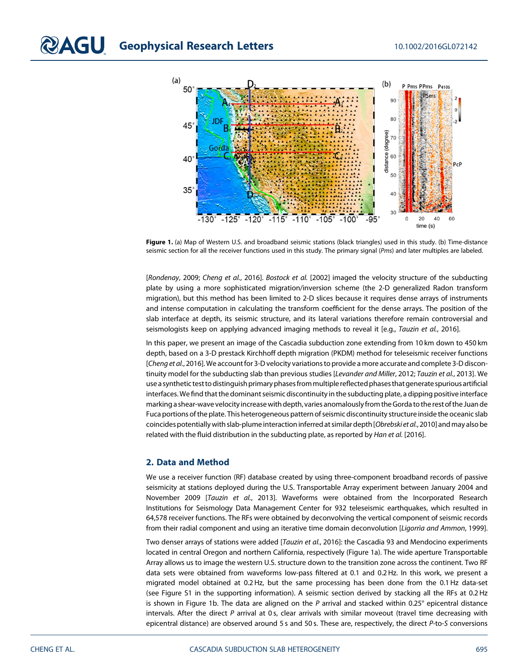

Figure 1. (a) Map of Western U.S. and broadband seismic stations (black triangles) used in this study. (b) Time-distance seismic section for all the receiver functions used in this study. The primary signal (Pms) and later multiples are labeled.

[Rondenay, 2009; Cheng et al., 2016]. Bostock et al. [2002] imaged the velocity structure of the subducting plate by using a more sophisticated migration/inversion scheme (the 2-D generalized Radon transform migration), but this method has been limited to 2-D slices because it requires dense arrays of instruments and intense computation in calculating the transform coefficient for the dense arrays. The position of the slab interface at depth, its seismic structure, and its lateral variations therefore remain controversial and seismologists keep on applying advanced imaging methods to reveal it [e.g., Tauzin et al., 2016].

In this paper, we present an image of the Cascadia subduction zone extending from 10 km down to 450 km depth, based on a 3-D prestack Kirchhoff depth migration (PKDM) method for teleseismic receiver functions [Cheng et al., 2016]. We account for 3-D velocity variations to provide a more accurate and complete 3-D discontinuity model for the subducting slab than previous studies [Levander and Miller, 2012; Tauzin et al., 2013]. We use a synthetic test to distinguish primary phasesfrommultiple reflected phases that generate spurious artificial interfaces. We find that the dominant seismic discontinuity in the subducting plate, a dipping positive interface marking a shear-wave velocity increase with depth, varies anomalouslyfrom the Gorda to the rest of the Juan de Fuca portions of the plate. This heterogeneous pattern of seismic discontinuity structure inside the oceanic slab coincides potentially with slab-plume interaction inferred at similar depth [Obrebski et al., 2010] and may also be related with the fluid distribution in the subducting plate, as reported by *Han et al.* [2016].

#### 2. Data and Method

We use a receiver function (RF) database created by using three-component broadband records of passive seismicity at stations deployed during the U.S. Transportable Array experiment between January 2004 and November 2009 [Tauzin et al., 2013]. Waveforms were obtained from the Incorporated Research Institutions for Seismology Data Management Center for 932 teleseismic earthquakes, which resulted in 64,578 receiver functions. The RFs were obtained by deconvolving the vertical component of seismic records from their radial component and using an iterative time domain deconvolution [Ligorrìa and Ammon, 1999].

Two denser arrays of stations were added [Tauzin et al., 2016]: the Cascadia 93 and Mendocino experiments located in central Oregon and northern California, respectively (Figure 1a). The wide aperture Transportable Array allows us to image the western U.S. structure down to the transition zone across the continent. Two RF data sets were obtained from waveforms low-pass filtered at 0.1 and 0.2 Hz. In this work, we present a migrated model obtained at 0.2 Hz, but the same processing has been done from the 0.1 Hz data-set (see Figure S1 in the supporting information). A seismic section derived by stacking all the RFs at 0.2 Hz is shown in Figure 1b. The data are aligned on the  $P$  arrival and stacked within 0.25 $\degree$  epicentral distance intervals. After the direct P arrival at 0s, clear arrivals with similar moveout (travel time decreasing with epicentral distance) are observed around 5 s and 50 s. These are, respectively, the direct P-to-S conversions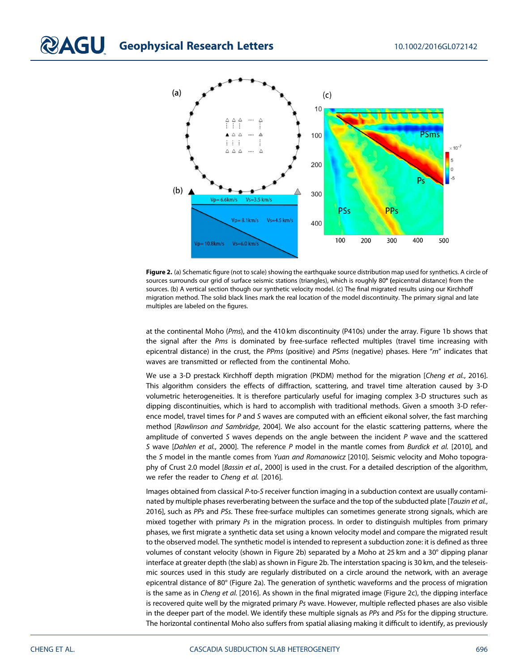

Figure 2. (a) Schematic figure (not to scale) showing the earthquake source distribution map used for synthetics. A circle of sources surrounds our grid of surface seismic stations (triangles), which is roughly 80° (epicentral distance) from the sources. (b) A vertical section though our synthetic velocity model. (c) The final migrated results using our Kirchhoff migration method. The solid black lines mark the real location of the model discontinuity. The primary signal and late multiples are labeled on the figures.

at the continental Moho (Pms), and the 410 km discontinuity (P410s) under the array. Figure 1b shows that the signal after the Pms is dominated by free-surface reflected multiples (travel time increasing with epicentral distance) in the crust, the PPms (positive) and PSms (negative) phases. Here "m" indicates that waves are transmitted or reflected from the continental Moho.

We use a 3-D prestack Kirchhoff depth migration (PKDM) method for the migration [Cheng et al., 2016]. This algorithm considers the effects of diffraction, scattering, and travel time alteration caused by 3-D volumetric heterogeneities. It is therefore particularly useful for imaging complex 3-D structures such as dipping discontinuities, which is hard to accomplish with traditional methods. Given a smooth 3-D reference model, travel times for P and S waves are computed with an efficient eikonal solver, the fast marching method [Rawlinson and Sambridge, 2004]. We also account for the elastic scattering patterns, where the amplitude of converted S waves depends on the angle between the incident  $P$  wave and the scattered S wave [Dahlen et al., 2000]. The reference P model in the mantle comes from Burdick et al. [2010], and the S model in the mantle comes from Yuan and Romanowicz [2010]. Seismic velocity and Moho topography of Crust 2.0 model [Bassin et al., 2000] is used in the crust. For a detailed description of the algorithm, we refer the reader to Cheng et al. [2016].

Images obtained from classical P-to-S receiver function imaging in a subduction context are usually contaminated by multiple phases reverberating between the surface and the top of the subducted plate [Tauzin et al., 2016], such as PPs and PSs. These free-surface multiples can sometimes generate strong signals, which are mixed together with primary Ps in the migration process. In order to distinguish multiples from primary phases, we first migrate a synthetic data set using a known velocity model and compare the migrated result to the observed model. The synthetic model is intended to represent a subduction zone: it is defined as three volumes of constant velocity (shown in Figure 2b) separated by a Moho at 25 km and a 30° dipping planar interface at greater depth (the slab) as shown in Figure 2b. The interstation spacing is 30 km, and the teleseismic sources used in this study are regularly distributed on a circle around the network, with an average epicentral distance of 80° (Figure 2a). The generation of synthetic waveforms and the process of migration is the same as in Cheng et al. [2016]. As shown in the final migrated image (Figure 2c), the dipping interface is recovered quite well by the migrated primary  $Ps$  wave. However, multiple reflected phases are also visible in the deeper part of the model. We identify these multiple signals as PPs and PSs for the dipping structure. The horizontal continental Moho also suffers from spatial aliasing making it difficult to identify, as previously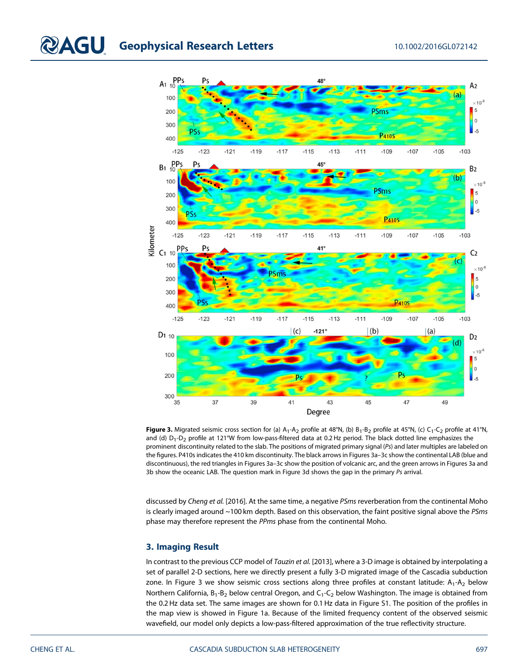

Figure 3. Migrated seismic cross section for (a)  $A_1 - A_2$  profile at 48°N, (b)  $B_1 - B_2$  profile at 45°N, (c)  $C_1 - C_2$  profile at 41°N, and (d)  $D_1-D_2$  profile at 121°W from low-pass-filtered data at 0.2 Hz period. The black dotted line emphasizes the prominent discontinuity related to the slab. The positions of migrated primary signal (Ps) and later multiples are labeled on the figures. P410s indicates the 410 km discontinuity. The black arrows in Figures 3a–3c show the continental LAB (blue and discontinuous), the red triangles in Figures 3a–3c show the position of volcanic arc, and the green arrows in Figures 3a and 3b show the oceanic LAB. The question mark in Figure 3d shows the gap in the primary Ps arrival.

discussed by Cheng et al. [2016]. At the same time, a negative PSms reverberation from the continental Moho is clearly imaged around  $\sim$  100 km depth. Based on this observation, the faint positive signal above the PSms phase may therefore represent the PPms phase from the continental Moho.

## 3. Imaging Result

In contrast to the previous CCP model of Tauzin et al. [2013], where a 3-D image is obtained by interpolating a set of parallel 2-D sections, here we directly present a fully 3-D migrated image of the Cascadia subduction zone. In Figure 3 we show seismic cross sections along three profiles at constant latitude:  $A_1 - A_2$  below Northern California,  $B_1 - B_2$  below central Oregon, and  $C_1 - C_2$  below Washington. The image is obtained from the 0.2 Hz data set. The same images are shown for 0.1 Hz data in Figure S1. The position of the profiles in the map view is showed in Figure 1a. Because of the limited frequency content of the observed seismic wavefield, our model only depicts a low-pass-filtered approximation of the true reflectivity structure.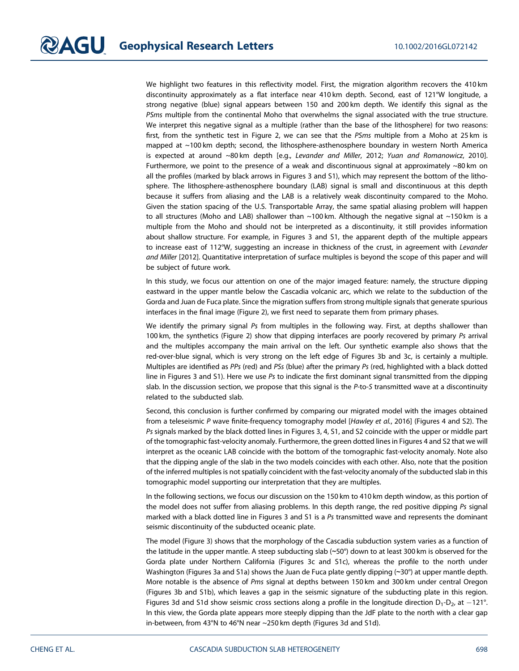We highlight two features in this reflectivity model. First, the migration algorithm recovers the 410 km discontinuity approximately as a flat interface near 410 km depth. Second, east of 121°W longitude, a strong negative (blue) signal appears between 150 and 200 km depth. We identify this signal as the PSms multiple from the continental Moho that overwhelms the signal associated with the true structure. We interpret this negative signal as a multiple (rather than the base of the lithosphere) for two reasons: first, from the synthetic test in Figure 2, we can see that the PSms multiple from a Moho at 25 km is mapped at ~100 km depth; second, the lithosphere-asthenosphere boundary in western North America is expected at around ~80 km depth [e.g., Levander and Miller, 2012; Yuan and Romanowicz, 2010]. Furthermore, we point to the presence of a weak and discontinuous signal at approximately  $\sim$ 80 km on all the profiles (marked by black arrows in Figures 3 and S1), which may represent the bottom of the lithosphere. The lithosphere-asthenosphere boundary (LAB) signal is small and discontinuous at this depth because it suffers from aliasing and the LAB is a relatively weak discontinuity compared to the Moho. Given the station spacing of the U.S. Transportable Array, the same spatial aliasing problem will happen to all structures (Moho and LAB) shallower than  $\sim$ 100 km. Although the negative signal at  $\sim$ 150 km is a multiple from the Moho and should not be interpreted as a discontinuity, it still provides information about shallow structure. For example, in Figures 3 and S1, the apparent depth of the multiple appears to increase east of 112°W, suggesting an increase in thickness of the crust, in agreement with Levander and Miller [2012]. Quantitative interpretation of surface multiples is beyond the scope of this paper and will be subject of future work.

In this study, we focus our attention on one of the major imaged feature: namely, the structure dipping eastward in the upper mantle below the Cascadia volcanic arc, which we relate to the subduction of the Gorda and Juan de Fuca plate. Since the migration suffers from strong multiple signals that generate spurious interfaces in the final image (Figure 2), we first need to separate them from primary phases.

We identify the primary signal Ps from multiples in the following way. First, at depths shallower than 100 km, the synthetics (Figure 2) show that dipping interfaces are poorly recovered by primary Ps arrival and the multiples accompany the main arrival on the left. Our synthetic example also shows that the red-over-blue signal, which is very strong on the left edge of Figures 3b and 3c, is certainly a multiple. Multiples are identified as PPs (red) and PSs (blue) after the primary Ps (red, highlighted with a black dotted line in Figures 3 and S1). Here we use  $Ps$  to indicate the first dominant signal transmitted from the dipping slab. In the discussion section, we propose that this signal is the P-to-S transmitted wave at a discontinuity related to the subducted slab.

Second, this conclusion is further confirmed by comparing our migrated model with the images obtained from a teleseismic P wave finite-frequency tomography model [Hawley et al., 2016] (Figures 4 and S2). The Ps signals marked by the black dotted lines in Figures 3, 4, S1, and S2 coincide with the upper or middle part of the tomographic fast-velocity anomaly. Furthermore, the green dotted lines in Figures 4 and S2 that we will interpret as the oceanic LAB coincide with the bottom of the tomographic fast-velocity anomaly. Note also that the dipping angle of the slab in the two models coincides with each other. Also, note that the position of the inferred multiples is not spatially coincident with the fast-velocity anomaly of the subducted slab in this tomographic model supporting our interpretation that they are multiples.

In the following sections, we focus our discussion on the 150 km to 410 km depth window, as this portion of the model does not suffer from aliasing problems. In this depth range, the red positive dipping Ps signal marked with a black dotted line in Figures 3 and S1 is a Ps transmitted wave and represents the dominant seismic discontinuity of the subducted oceanic plate.

The model (Figure 3) shows that the morphology of the Cascadia subduction system varies as a function of the latitude in the upper mantle. A steep subducting slab (∼50°) down to at least 300 km is observed for the Gorda plate under Northern California (Figures 3c and S1c), whereas the profile to the north under Washington (Figures 3a and S1a) shows the Juan de Fuca plate gently dipping (∼30°) at upper mantle depth. More notable is the absence of Pms signal at depths between 150 km and 300 km under central Oregon (Figures 3b and S1b), which leaves a gap in the seismic signature of the subducting plate in this region. Figures 3d and S1d show seismic cross sections along a profile in the longitude direction  $D_1-D_2$ , at  $-121^\circ$ . In this view, the Gorda plate appears more steeply dipping than the JdF plate to the north with a clear gap in-between, from 43°N to 46°N near ~250 km depth (Figures 3d and S1d).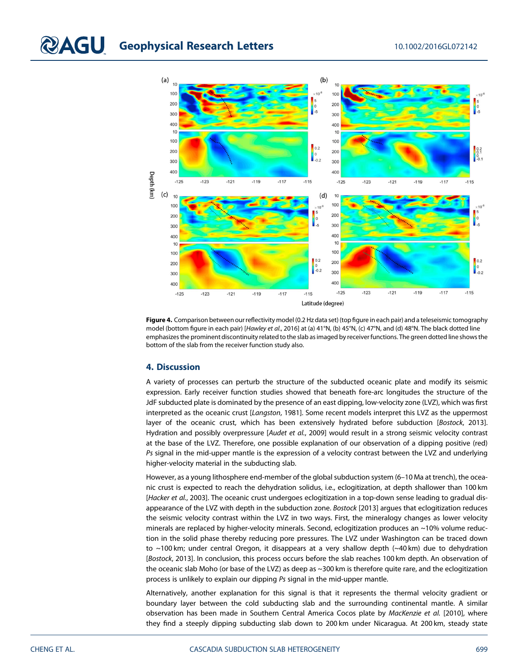

Figure 4. Comparison between our reflectivity model (0.2 Hz data set) (top figure in each pair) and a teleseismic tomography model (bottom figure in each pair) [Hawley et al., 2016] at (a) 41°N, (b) 45°N, (c) 47°N, and (d) 48°N. The black dotted line emphasizes the prominent discontinuity related to the slab as imaged by receiver functions. The green dotted line shows the bottom of the slab from the receiver function study also.

## 4. Discussion

A variety of processes can perturb the structure of the subducted oceanic plate and modify its seismic expression. Early receiver function studies showed that beneath fore-arc longitudes the structure of the JdF subducted plate is dominated by the presence of an east dipping, low-velocity zone (LVZ), which was first interpreted as the oceanic crust [Langston, 1981]. Some recent models interpret this LVZ as the uppermost layer of the oceanic crust, which has been extensively hydrated before subduction [Bostock, 2013]. Hydration and possibly overpressure [Audet et al., 2009] would result in a strong seismic velocity contrast at the base of the LVZ. Therefore, one possible explanation of our observation of a dipping positive (red) Ps signal in the mid-upper mantle is the expression of a velocity contrast between the LVZ and underlying higher-velocity material in the subducting slab.

However, as a young lithosphere end-member of the global subduction system (6–10 Ma at trench), the oceanic crust is expected to reach the dehydration solidus, i.e., eclogitization, at depth shallower than 100 km [Hacker et al., 2003]. The oceanic crust undergoes eclogitization in a top-down sense leading to gradual disappearance of the LVZ with depth in the subduction zone. Bostock [2013] argues that eclogitization reduces the seismic velocity contrast within the LVZ in two ways. First, the mineralogy changes as lower velocity minerals are replaced by higher-velocity minerals. Second, eclogitization produces an ~10% volume reduction in the solid phase thereby reducing pore pressures. The LVZ under Washington can be traced down to ~100 km; under central Oregon, it disappears at a very shallow depth (~40 km) due to dehydration [Bostock, 2013]. In conclusion, this process occurs before the slab reaches 100 km depth. An observation of the oceanic slab Moho (or base of the LVZ) as deep as ~300 km is therefore quite rare, and the eclogitization process is unlikely to explain our dipping Ps signal in the mid-upper mantle.

Alternatively, another explanation for this signal is that it represents the thermal velocity gradient or boundary layer between the cold subducting slab and the surrounding continental mantle. A similar observation has been made in Southern Central America Cocos plate by MacKenzie et al. [2010], where they find a steeply dipping subducting slab down to 200 km under Nicaragua. At 200 km, steady state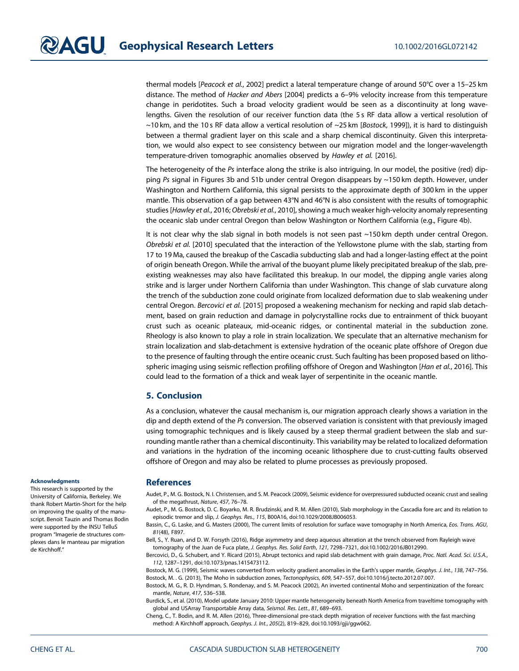thermal models [Peacock et al., 2002] predict a lateral temperature change of around 50°C over a 15-25 km distance. The method of Hacker and Abers [2004] predicts a 6–9% velocity increase from this temperature change in peridotites. Such a broad velocity gradient would be seen as a discontinuity at long wavelengths. Given the resolution of our receiver function data (the 5 s RF data allow a vertical resolution of ~10 km, and the 10 s RF data allow a vertical resolution of ~25 km [Bostock, 1999]), it is hard to distinguish between a thermal gradient layer on this scale and a sharp chemical discontinuity. Given this interpretation, we would also expect to see consistency between our migration model and the longer-wavelength temperature-driven tomographic anomalies observed by Hawley et al. [2016].

The heterogeneity of the Ps interface along the strike is also intriguing. In our model, the positive (red) dipping Ps signal in Figures 3b and S1b under central Oregon disappears by ~150 km depth. However, under Washington and Northern California, this signal persists to the approximate depth of 300 km in the upper mantle. This observation of a gap between 43°N and 46°N is also consistent with the results of tomographic studies [Hawley et al., 2016; Obrebski et al., 2010], showing a much weaker high-velocity anomaly representing the oceanic slab under central Oregon than below Washington or Northern California (e.g., Figure 4b).

It is not clear why the slab signal in both models is not seen past  $\sim$ 150 km depth under central Oregon. Obrebski et al. [2010] speculated that the interaction of the Yellowstone plume with the slab, starting from 17 to 19 Ma, caused the breakup of the Cascadia subducting slab and had a longer-lasting effect at the point of origin beneath Oregon. While the arrival of the buoyant plume likely precipitated breakup of the slab, preexisting weaknesses may also have facilitated this breakup. In our model, the dipping angle varies along strike and is larger under Northern California than under Washington. This change of slab curvature along the trench of the subduction zone could originate from localized deformation due to slab weakening under central Oregon. Bercovici et al. [2015] proposed a weakening mechanism for necking and rapid slab detachment, based on grain reduction and damage in polycrystalline rocks due to entrainment of thick buoyant crust such as oceanic plateaux, mid-oceanic ridges, or continental material in the subduction zone. Rheology is also known to play a role in strain localization. We speculate that an alternative mechanism for strain localization and slab-detachment is extensive hydration of the oceanic plate offshore of Oregon due to the presence of faulting through the entire oceanic crust. Such faulting has been proposed based on lithospheric imaging using seismic reflection profiling offshore of Oregon and Washington [Han et al., 2016]. This could lead to the formation of a thick and weak layer of serpentinite in the oceanic mantle.

## 5. Conclusion

As a conclusion, whatever the causal mechanism is, our migration approach clearly shows a variation in the dip and depth extend of the Ps conversion. The observed variation is consistent with that previously imaged using tomographic techniques and is likely caused by a steep thermal gradient between the slab and surrounding mantle rather than a chemical discontinuity. This variability may be related to localized deformation and variations in the hydration of the incoming oceanic lithosphere due to crust-cutting faults observed offshore of Oregon and may also be related to plume processes as previously proposed.

#### Acknowledgments

This research is supported by the University of California, Berkeley. We thank Robert Martin-Short for the help on improving the quality of the manuscript. Benoit Tauzin and Thomas Bodin were supported by the INSU TelluS program "Imagerie de structures complexes dans le manteau par migration de Kirchhoff."

#### References

Audet, P., M. G. Bostock, N. I. Christensen, and S. M. Peacock (2009), Seismic evidence for overpressured subducted oceanic crust and sealing of the megathrust, Nature, 457, 76–78.

Audet, P., M. G. Bostock, D. C. Boyarko, M. R. Brudzinski, and R. M. Allen (2010), Slab morphology in the Cascadia fore arc and its relation to episodic tremor and slip, J. Geophys. Res., 115, B00A16, doi[:10.1029/2008JB006053](http://doi.org/10.1029/2008JB006053).

Bassin, C., G. Laske, and G. Masters (2000), The current limits of resolution for surface wave tomography in North America, Eos. Trans. AGU, 81(48), F897.

Bell, S., Y. Ruan, and D. W. Forsyth (2016), Ridge asymmetry and deep aqueous alteration at the trench observed from Rayleigh wave tomography of the Juan de Fuca plate, J. Geophys. Res. Solid Earth, 121, 7298–7321, doi:[10.1002/2016JB012990](http://doi.org/10.1002/2016JB012990).

Bercovici, D., G. Schubert, and Y. Ricard (2015), Abrupt tectonics and rapid slab detachment with grain damage, Proc. Natl. Acad. Sci. U.S.A., 112, 1287–1291, doi[:10.1073/pnas.1415473112.](http://doi.org/10.1073/pnas.1415473112)

Bostock, M. G. (1999), Seismic waves converted from velocity gradient anomalies in the Earth's upper mantle, Geophys. J. Int., 138, 747–756. Bostock, M. . G. (2013), The Moho in subduction zones, Tectonophysics, 609, 547–557, doi[:10.1016/j.tecto.2012.07.007.](http://doi.org/10.1016/j.tecto.2012.07.007)

Bostock, M. G., R. D. Hyndman, S. Rondenay, and S. M. Peacock (2002), An inverted continental Moho and serpentinization of the forearc mantle, Nature, 417, 536–538.

Burdick, S., et al. (2010), Model update January 2010: Upper mantle heterogeneity beneath North America from traveltime tomography with global and USArray Transportable Array data, Seismol. Res. Lett., 81, 689–693.

Cheng, C., T. Bodin, and R. M. Allen (2016), Three-dimensional pre-stack depth migration of receiver functions with the fast marching method: A Kirchhoff approach, Geophys. J. Int., 205(2), 819–829, doi[:10.1093/gji/ggw062](http://doi.org/10.1093/gji/ggw062).